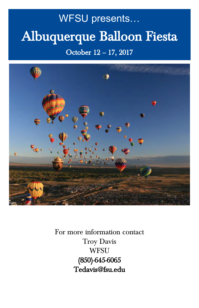# WFSU presents… Albuquerque Balloon Fiesta

# October 12 – 17, 2017



For more information contact Troy Davis **WFSU** (850)-645-6065 Tedavis@fsu.edu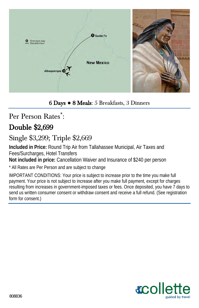

#### 6 Days **●** 8 Meals: 5 Breakfasts, 3 Dinners

Per Person Rates<sup>\*</sup>:

# Double \$2,699

# Single \$3,299; Triple \$2,669

**Included in Price:** Round Trip Air from Tallahassee Municipal, Air Taxes and Fees/Surcharges, Hotel Transfers

**Not included in price:** Cancellation Waiver and Insurance of \$240 per person

\* All Rates are Per Person and are subject to change

IMPORTANT CONDITIONS: Your price is subject to increase prior to the time you make full payment. Your price is not subject to increase after you make full payment, except for charges resulting from increases in government-imposed taxes or fees. Once deposited, you have 7 days to send us written consumer consent or withdraw consent and receive a full refund. (See registration form for consent.)

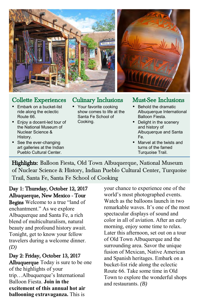

#### Collette Experiences

- Fmbark on a bucket-list ride along the eclectic Route 66.
- Enjoy a docent-led tour of the National Museum of Nuclear Science & History.
- See the ever-changing art galleries at the Indian Pueblo Cultural Center.

#### Culinary Inclusions

• Your favorite cooking show comes to life at the Santa Fe School of Cooking.

#### Must-See Inclusions

- Behold the dramatic Albuquerque International Balloon Fiesta.
- Delight in the scenery and history of Albuquerque and Santa Fe.
- Marvel at the twists and turns of the famed Turquoise Trail.

Highlights: Balloon Fiesta, Old Town Albuquerque, National Museum of Nuclear Science & History, Indian Pueblo Cultural Center, Turquoise Trail, Santa Fe, Santa Fe School of Cooking

Day 1: Thursday, October 12, 2017 Albuquerque, New Mexico - Tour

Begins Welcome to a true "land of enchantment." As we explore Albuquerque and Santa Fe, a rich blend of multiculturalism, natural beauty and profound history await. Tonight, get to know your fellow travelers during a welcome dinner. *(D)*

Day 2: Friday, October 13, 2017 Albuquerque Today is sure to be one of the highlights of your trip…Albuquerque's International Balloon Fiesta. **Join in the excitement of this annual hot air ballooning extravaganza.** This is

your chance to experience one of the world's most photographed events. Watch as the balloons launch in two remarkable waves. It's one of the most spectacular displays of sound and color in all of aviation. After an early morning, enjoy some time to relax. Later this afternoon, set out on a tour of Old Town Albuquerque and the surrounding area. Savor the unique fusion of Mexican, Native American and Spanish heritages. Embark on a bucket-list ride along the eclectic Route 66. Take some time in Old Town to explore the wonderful shops and restaurants. *(B)*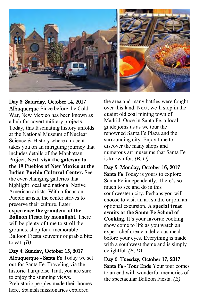

Day 3: Saturday, October 14, 2017 Albuquerque Since before the Cold War, New Mexico has been known as a hub for covert military projects. Today, this fascinating history unfolds at the National Museum of Nuclear Science & History where a docent takes you on an intriguing journey that includes details of the Manhattan Project. Next, **visit the gateway to the 19 Pueblos of New Mexico at the Indian Pueblo Cultural Center.** See the ever-changing galleries that highlight local and national Native American artists. With a focus on Pueblo artists, the center strives to preserve their culture. Later, **experience the grandeur of the Balloon Fiesta by moonlight.** There will be plenty of time to stroll the grounds, shop for a memorable Balloon Fiesta souvenir or grab a bite to eat.  $(B)$ 

Day 4: Sunday, October 15, 2017 Albuquerque - Santa Fe Today we set out for Santa Fe. Traveling via the historic Turquoise Trail, you are sure to enjoy the stunning views. Prehistoric peoples made their homes here, Spanish missionaries explored

the area and many battles were fought over this land. Next, we'll stop in the quaint old coal mining town of Madrid. Once in Santa Fe, a local guide joins us as we tour the renowned Santa Fe Plaza and the surrounding city. Enjoy time to discover the many shops and numerous art museums that Santa Fe is known for. *(B, D)*

Day 5: Monday, October 16, 2017 Santa Fe Today is yours to explore Santa Fe independently. There's so much to see and do in this southwestern city. Perhaps you will choose to visit an art studio or join an optional excursion. **A special treat awaits at the Santa Fe School of Cooking.** It's your favorite cooking show come to life as you watch an expert chef create a delicious meal before your eyes. Everything is made with a southwest theme and is simply delightful. *(B, D)*

Day 6: Tuesday, October 17, 2017 Santa Fe - Tour Ends Your tour comes to an end with wonderful memories of the spectacular Balloon Fiesta. *(B)*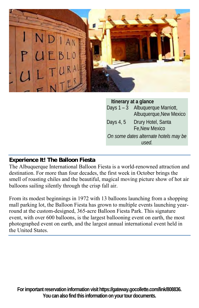

**Itinerary at a glance** Days  $1 - 3$  Albuquerque Marriott, Albuquerque,New Mexico Days 4, 5 Drury Hotel, Santa Fe,New Mexico *On some dates alternate hotels may be used.*

#### **Experience It! The Balloon Fiesta**

The Albuquerque International Balloon Fiesta is a world-renowned attraction and destination. For more than four decades, the first week in October brings the smell of roasting chiles and the beautiful, magical moving picture show of hot air balloons sailing silently through the crisp fall air.

From its modest beginnings in 1972 with 13 balloons launching from a shopping mall parking lot, the Balloon Fiesta has grown to multiple events launching yearround at the custom-designed, 365-acre Balloon Fiesta Park. This signature event, with over 600 balloons, is the largest ballooning event on earth, the most photographed event on earth, and the largest annual international event held in the United States.

**For important reservation information visit https://gateway.gocollette.com/link/808836. You can also find this information on your tour documents.**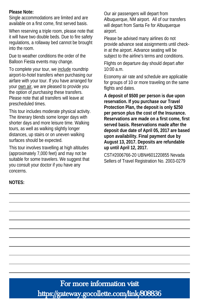**Please Note:** 

Single accommodations are limited and are available on a first come, first served basis.

When reserving a triple room, please note that it will have two double beds. Due to fire safety regulations, a rollaway bed cannot be brought into the room.

Due to weather conditions the order of the Balloon Fiesta events may change.

To complete your tour, we include roundtrip airport-to-hotel transfers when purchasing our airfare with your tour. If you have arranged for your own air, we are pleased to provide you the option of *purchasing* these transfers. Please note that all transfers will leave at prescheduled times.

This tour includes moderate physical activity. The itinerary blends some longer days with shorter days and more leisure time. Walking tours, as well as walking slightly longer distances, up stairs or on uneven walking surfaces should be expected.

This tour involves travelling at high altitudes (approximately 7,000 feet) and may not be suitable for some travelers. We suggest that you consult your doctor if you have any concerns.

Our air passengers will depart from Albuquerque, NM airport. All of our transfers will depart from Santa Fe for Albuquerque airport.

Please be advised many airlines do not provide advance seat assignments until checkin at the airport. Advance seating will be subject to the airline's terms and conditions.

Flights on departure day should depart after 10:00 a.m.

Economy air rate and schedule are applicable for groups of 10 or more traveling on the same flights and dates.

**A deposit of \$500 per person is due upon reservation. If you purchase our Travel Protection Plan, the deposit is only \$250 per person plus the cost of the Insurance. Reservations are made on a first come, first served basis. Reservations made after the deposit due date of April 05, 2017 are based upon availability. Final payment due by August 13, 2017. Deposits are refundable up until April 12, 2017.**

CST#2006766-20 UBN#601220855 Nevada Sellers of Travel Registration No. 2003-0279

**NOTES:** 

For more information visit https://gateway.gocollette.com/link/808836